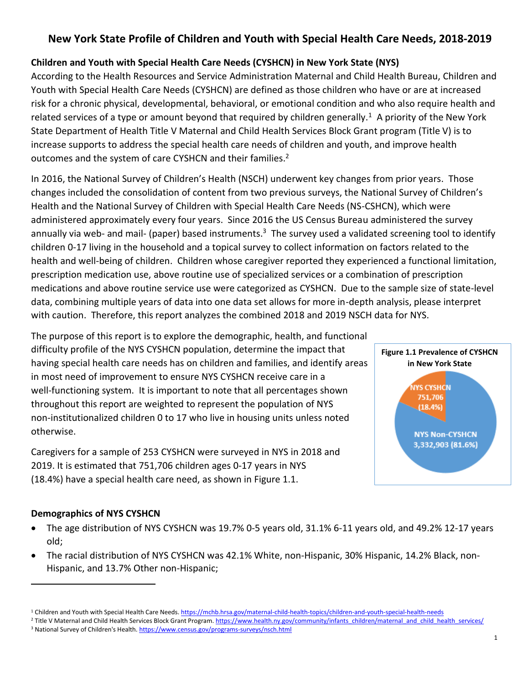# **New York State Profile of Children and Youth with Special Health Care Needs, 2018-2019**

## **Children and Youth with Special Health Care Needs (CYSHCN) in New York State (NYS)**

According to the Health Resources and Service Administration Maternal and Child Health Bureau, Children and Youth with Special Health Care Needs (CYSHCN) are defined as those children who have or are at increased risk for a chronic physical, developmental, behavioral, or emotional condition and who also require health and related services of a type or amount beyond that required by children generally.<sup>1</sup> A priority of the New York State Department of Health Title V Maternal and Child Health Services Block Grant program (Title V) is to increase supports to address the special health care needs of children and youth, and improve health outcomes and the system of care CYSHCN and their families.<sup>2</sup>

In 2016, the National Survey of Children's Health (NSCH) underwent key changes from prior years. Those changes included the consolidation of content from two previous surveys, the National Survey of Children's Health and the National Survey of Children with Special Health Care Needs (NS-CSHCN), which were administered approximately every four years. Since 2016 the US Census Bureau administered the survey annually via web- and mail- (paper) based instruments.<sup>3</sup> The survey used a validated screening tool to identify children 0-17 living in the household and a topical survey to collect information on factors related to the health and well-being of children. Children whose caregiver reported they experienced a functional limitation, prescription medication use, above routine use of specialized services or a combination of prescription medications and above routine service use were categorized as CYSHCN. Due to the sample size of state-level data, combining multiple years of data into one data set allows for more in-depth analysis, please interpret with caution. Therefore, this report analyzes the combined 2018 and 2019 NSCH data for NYS.

The purpose of this report is to explore the demographic, health, and functional difficulty profile of the NYS CYSHCN population, determine the impact that having special health care needs has on children and families, and identify areas in most need of improvement to ensure NYS CYSHCN receive care in a well-functioning system. It is important to note that all percentages shown throughout this report are weighted to represent the population of NYS non-institutionalized children 0 to 17 who live in housing units unless noted otherwise.

Caregivers for a sample of 253 CYSHCN were surveyed in NYS in 2018 and 2019. It is estimated that 751,706 children ages 0-17 years in NYS (18.4%) have a special health care need, as shown in Figure 1.1.



## **Demographics of NYS CYSHCN**

- The age distribution of NYS CYSHCN was 19.7% 0-5 years old, 31.1% 6-11 years old, and 49.2% 12-17 years old;
- The racial distribution of NYS CYSHCN was 42.1% White, non-Hispanic, 30% Hispanic, 14.2% Black, non-Hispanic, and 13.7% Other non-Hispanic;

<sup>&</sup>lt;sup>1</sup> Children and Youth with Special Health Care Needs. <https://mchb.hrsa.gov/maternal-child-health-topics/children-and-youth-special-health-needs>

<sup>&</sup>lt;sup>2</sup> Title V Maternal and Child Health Services Block Grant Program[. https://www.health.ny.gov/community/infants\\_children/maternal\\_and\\_child\\_health\\_services/](https://www.health.ny.gov/community/infants_children/maternal_and_child_health_services/) <sup>3</sup> National Survey of Children's Health[. https://www.census.gov/programs-surveys/nsch.html](https://www.census.gov/programs-surveys/nsch.html)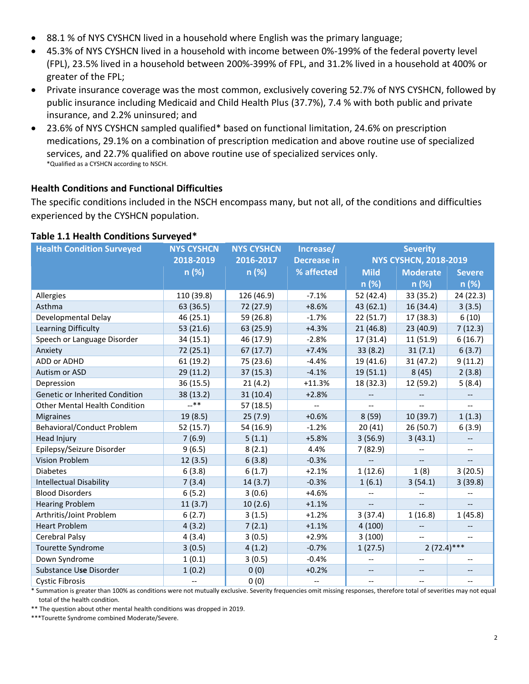- 88.1 % of NYS CYSHCN lived in a household where English was the primary language;
- 45.3% of NYS CYSHCN lived in a household with income between 0%-199% of the federal poverty level (FPL), 23.5% lived in a household between 200%-399% of FPL, and 31.2% lived in a household at 400% or greater of the FPL;
- Private insurance coverage was the most common, exclusively covering 52.7% of NYS CYSHCN, followed by public insurance including Medicaid and Child Health Plus (37.7%), 7.4 % with both public and private insurance, and 2.2% uninsured; and
- 23.6% of NYS CYSHCN sampled qualified\* based on functional limitation, 24.6% on prescription medications, 29.1% on a combination of prescription medication and above routine use of specialized services, and 22.7% qualified on above routine use of specialized services only. \*Qualified as a CYSHCN according to NSCH.

### **Health Conditions and Functional Difficulties**

The specific conditions included in the NSCH encompass many, but not all, of the conditions and difficulties experienced by the CYSHCN population.

| <b>Health Condition Surveyed</b>     | <b>NYS CYSHCN</b> | <b>NYS CYSHCN</b> | Increase/                | <b>Severity</b>              |                          |                          |
|--------------------------------------|-------------------|-------------------|--------------------------|------------------------------|--------------------------|--------------------------|
|                                      | 2018-2019         | 2016-2017         | <b>Decrease in</b>       | <b>NYS CYSHCN, 2018-2019</b> |                          |                          |
|                                      | n (%)             | n (%)             | % affected               | <b>Mild</b>                  | <b>Moderate</b>          | <b>Severe</b>            |
|                                      |                   |                   |                          | n (%)                        | n (%)                    | n(%)                     |
| Allergies                            | 110 (39.8)        | 126 (46.9)        | $-7.1%$                  | 52 (42.4)                    | 33 (35.2)                | 24 (22.3)                |
| Asthma                               | 63 (36.5)         | 72 (27.9)         | $+8.6%$                  | 43 (62.1)                    | 16 (34.4)                | 3(3.5)                   |
| Developmental Delay                  | 46 (25.1)         | 59 (26.8)         | $-1.7%$                  | 22(51.7)                     | 17 (38.3)                | 6(10)                    |
| Learning Difficulty                  | 53 (21.6)         | 63 (25.9)         | $+4.3%$                  | 21(46.8)                     | 23(40.9)                 | 7(12.3)                  |
| Speech or Language Disorder          | 34 (15.1)         | 46 (17.9)         | $-2.8%$                  | 17 (31.4)                    | 11 (51.9)                | 6(16.7)                  |
| Anxiety                              | 72 (25.1)         | 67(17.7)          | $+7.4%$                  | 33(8.2)                      | 31(7.1)                  | 6(3.7)                   |
| ADD or ADHD                          | 61(19.2)          | 75 (23.6)         | $-4.4%$                  | 19 (41.6)                    | 31(47.2)                 | 9(11.2)                  |
| Autism or ASD                        | 29 (11.2)         | 37(15.3)          | $-4.1%$                  | 19(51.1)                     | 8(45)                    | 2(3.8)                   |
| Depression                           | 36 (15.5)         | 21(4.2)           | $+11.3%$                 | 18 (32.3)                    | 12 (59.2)                | 5(8.4)                   |
| Genetic or Inherited Condition       | 38 (13.2)         | 31(10.4)          | $+2.8%$                  |                              |                          |                          |
| <b>Other Mental Health Condition</b> | $-***$            | 57 (18.5)         | $\overline{\phantom{a}}$ |                              |                          |                          |
| <b>Migraines</b>                     | 19 (8.5)          | 25(7.9)           | $+0.6%$                  | 8(59)                        | 10(39.7)                 | 1(1.3)                   |
| Behavioral/Conduct Problem           | 52 (15.7)         | 54 (16.9)         | $-1.2%$                  | 20(41)                       | 26(50.7)                 | 6(3.9)                   |
| <b>Head Injury</b>                   | 7(6.9)            | 5(1.1)            | $+5.8%$                  | 3(56.9)                      | 3(43.1)                  |                          |
| Epilepsy/Seizure Disorder            | 9(6.5)            | 8(2.1)            | 4.4%                     | 7(82.9)                      |                          | $-$                      |
| <b>Vision Problem</b>                | 12(3.5)           | 6(3.8)            | $-0.3%$                  |                              |                          |                          |
| <b>Diabetes</b>                      | 6(3.8)            | 6(1.7)            | $+2.1%$                  | 1(12.6)                      | 1(8)                     | 3(20.5)                  |
| <b>Intellectual Disability</b>       | 7(3.4)            | 14(3.7)           | $-0.3%$                  | 1(6.1)                       | 3(54.1)                  | 3(39.8)                  |
| <b>Blood Disorders</b>               | 6(5.2)            | 3(0.6)            | $+4.6%$                  | $-$                          |                          |                          |
| <b>Hearing Problem</b>               | 11(3.7)           | 10(2.6)           | $+1.1%$                  |                              |                          |                          |
| Arthritis/Joint Problem              | 6(2.7)            | 3(1.5)            | $+1.2%$                  | 3(37.4)                      | 1(16.8)                  | 1(45.8)                  |
| <b>Heart Problem</b>                 | 4(3.2)            | 7(2.1)            | $+1.1%$                  | 4(100)                       | --                       |                          |
| Cerebral Palsy                       | 4(3.4)            | 3(0.5)            | $+2.9%$                  | 3(100)                       | $\overline{\phantom{a}}$ | $-$                      |
| Tourette Syndrome                    | 3(0.5)            | 4(1.2)            | $-0.7%$                  | 1(27.5)                      | $2(72.4)***$             |                          |
| Down Syndrome                        | 1(0.1)            | 3(0.5)            | $-0.4%$                  | --                           | --                       | $\overline{\phantom{m}}$ |
| Substance Use Disorder               | 1(0.2)            | 0(0)              | $+0.2%$                  | --                           | --                       | --                       |
| <b>Cystic Fibrosis</b>               |                   | 0(0)              | $\qquad \qquad -$        | $\overline{\phantom{a}}$     | --                       | $-$                      |

#### **Table 1.1 Health Conditions Surveyed\***

\* Summation is greater than 100% as conditions were not mutually exclusive. Severity frequencies omit missing responses, therefore total of severities may not equal total of the health condition.

\*\* The question about other mental health conditions was dropped in 2019.

\*\*\*Tourette Syndrome combined Moderate/Severe.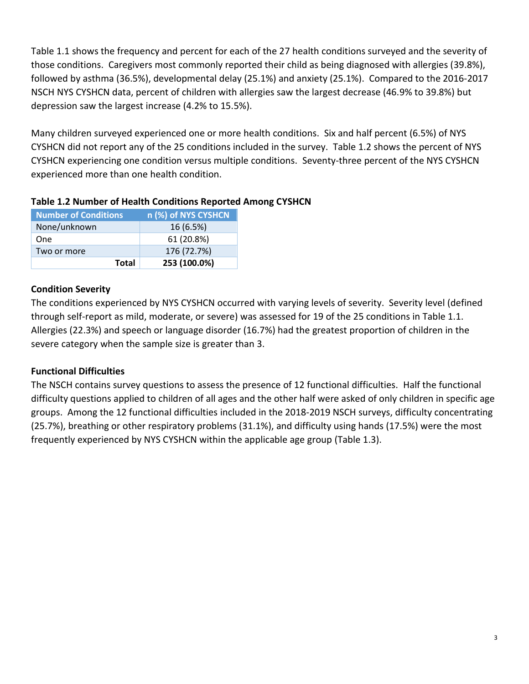Table 1.1 shows the frequency and percent for each of the 27 health conditions surveyed and the severity of those conditions. Caregivers most commonly reported their child as being diagnosed with allergies (39.8%), followed by asthma (36.5%), developmental delay (25.1%) and anxiety (25.1%). Compared to the 2016-2017 NSCH NYS CYSHCN data, percent of children with allergies saw the largest decrease (46.9% to 39.8%) but depression saw the largest increase (4.2% to 15.5%).

Many children surveyed experienced one or more health conditions. Six and half percent (6.5%) of NYS CYSHCN did not report any of the 25 conditions included in the survey. Table 1.2 shows the percent of NYS CYSHCN experiencing one condition versus multiple conditions. Seventy-three percent of the NYS CYSHCN experienced more than one health condition.

| <b>Number of Conditions</b> | n (%) of NYS CYSHCN |
|-----------------------------|---------------------|
| None/unknown                | 16 (6.5%)           |
| One                         | 61 (20.8%)          |
| Two or more                 | 176 (72.7%)         |
| Total                       | 253 (100.0%)        |

## **Condition Severity**

The conditions experienced by NYS CYSHCN occurred with varying levels of severity. Severity level (defined through self-report as mild, moderate, or severe) was assessed for 19 of the 25 conditions in Table 1.1. Allergies (22.3%) and speech or language disorder (16.7%) had the greatest proportion of children in the severe category when the sample size is greater than 3.

## **Functional Difficulties**

The NSCH contains survey questions to assess the presence of 12 functional difficulties. Half the functional difficulty questions applied to children of all ages and the other half were asked of only children in specific age groups. Among the 12 functional difficulties included in the 2018-2019 NSCH surveys, difficulty concentrating (25.7%), breathing or other respiratory problems (31.1%), and difficulty using hands (17.5%) were the most frequently experienced by NYS CYSHCN within the applicable age group (Table 1.3).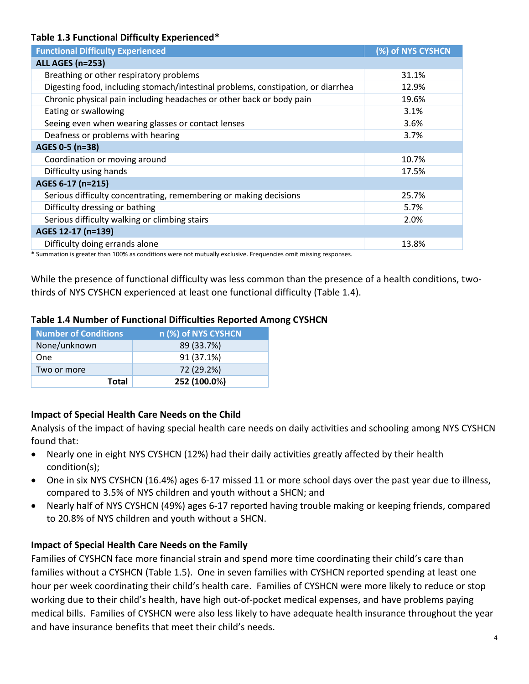### **Table 1.3 Functional Difficulty Experienced\***

| <b>Functional Difficulty Experienced</b>                                         | (%) of NYS CYSHCN |
|----------------------------------------------------------------------------------|-------------------|
| <b>ALL AGES (n=253)</b>                                                          |                   |
| Breathing or other respiratory problems                                          | 31.1%             |
| Digesting food, including stomach/intestinal problems, constipation, or diarrhea | 12.9%             |
| Chronic physical pain including headaches or other back or body pain             | 19.6%             |
| Eating or swallowing                                                             | 3.1%              |
| Seeing even when wearing glasses or contact lenses                               | 3.6%              |
| Deafness or problems with hearing                                                | 3.7%              |
| AGES 0-5 (n=38)                                                                  |                   |
| Coordination or moving around                                                    | 10.7%             |
| Difficulty using hands                                                           | 17.5%             |
| AGES 6-17 (n=215)                                                                |                   |
| Serious difficulty concentrating, remembering or making decisions                | 25.7%             |
| Difficulty dressing or bathing                                                   | 5.7%              |
| Serious difficulty walking or climbing stairs                                    | 2.0%              |
| AGES 12-17 (n=139)                                                               |                   |
| Difficulty doing errands alone                                                   | 13.8%             |
|                                                                                  |                   |

\* Summation is greater than 100% as conditions were not mutually exclusive. Frequencies omit missing responses.

While the presence of functional difficulty was less common than the presence of a health conditions, twothirds of NYS CYSHCN experienced at least one functional difficulty (Table 1.4).

## **Table 1.4 Number of Functional Difficulties Reported Among CYSHCN**

| <b>Number of Conditions</b> | n (%) of NYS CYSHCN |
|-----------------------------|---------------------|
| None/unknown                | 89 (33.7%)          |
| One                         | 91 (37.1%)          |
| Two or more                 | 72 (29.2%)          |
| <b>Total</b>                | 252 (100.0%)        |

## **Impact of Special Health Care Needs on the Child**

Analysis of the impact of having special health care needs on daily activities and schooling among NYS CYSHCN found that:

- Nearly one in eight NYS CYSHCN (12%) had their daily activities greatly affected by their health condition(s);
- One in six NYS CYSHCN (16.4%) ages 6-17 missed 11 or more school days over the past year due to illness, compared to 3.5% of NYS children and youth without a SHCN; and
- Nearly half of NYS CYSHCN (49%) ages 6-17 reported having trouble making or keeping friends, compared to 20.8% of NYS children and youth without a SHCN.

## **Impact of Special Health Care Needs on the Family**

Families of CYSHCN face more financial strain and spend more time coordinating their child's care than families without a CYSHCN (Table 1.5). One in seven families with CYSHCN reported spending at least one hour per week coordinating their child's health care. Families of CYSHCN were more likely to reduce or stop working due to their child's health, have high out-of-pocket medical expenses, and have problems paying medical bills. Families of CYSHCN were also less likely to have adequate health insurance throughout the year and have insurance benefits that meet their child's needs.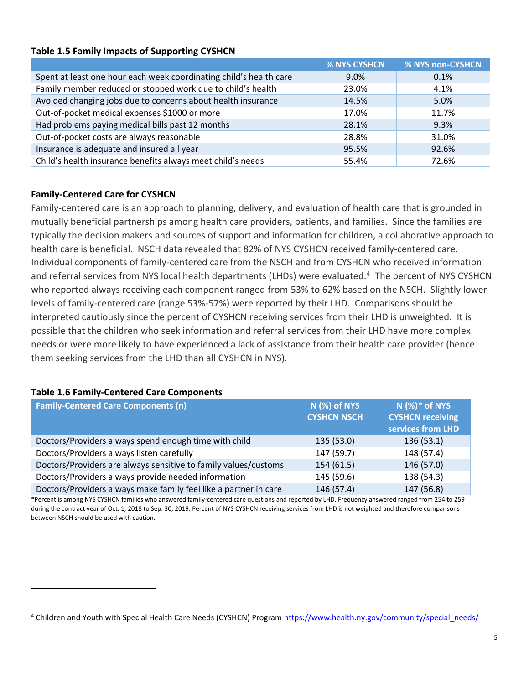#### **Table 1.5 Family Impacts of Supporting CYSHCN**

|                                                                    | % NYS CYSHCN | % NYS non-CYSHCN |
|--------------------------------------------------------------------|--------------|------------------|
| Spent at least one hour each week coordinating child's health care | $9.0\%$      | 0.1%             |
| Family member reduced or stopped work due to child's health        | 23.0%        | 4.1%             |
| Avoided changing jobs due to concerns about health insurance       | 14.5%        | 5.0%             |
| Out-of-pocket medical expenses \$1000 or more                      | 17.0%        | 11.7%            |
| Had problems paying medical bills past 12 months                   | 28.1%        | 9.3%             |
| Out-of-pocket costs are always reasonable                          | 28.8%        | 31.0%            |
| Insurance is adequate and insured all year                         | 95.5%        | 92.6%            |
| Child's health insurance benefits always meet child's needs        | 55.4%        | 72.6%            |

### **Family-Centered Care for CYSHCN**

Family-centered care is an approach to planning, delivery, and evaluation of health care that is grounded in mutually beneficial partnerships among health care providers, patients, and families. Since the families are typically the decision makers and sources of support and information for children, a collaborative approach to health care is beneficial. NSCH data revealed that 82% of NYS CYSHCN received family-centered care. Individual components of family-centered care from the NSCH and from CYSHCN who received information and referral services from NYS local health departments (LHDs) were evaluated.<sup>4</sup> The percent of NYS CYSHCN who reported always receiving each component ranged from 53% to 62% based on the NSCH. Slightly lower levels of family-centered care (range 53%-57%) were reported by their LHD. Comparisons should be interpreted cautiously since the percent of CYSHCN receiving services from their LHD is unweighted. It is possible that the children who seek information and referral services from their LHD have more complex needs or were more likely to have experienced a lack of assistance from their health care provider (hence them seeking services from the LHD than all CYSHCN in NYS).

#### **Table 1.6 Family-Centered Care Components**

| <b>Family-Centered Care Components (n)</b>                       | <b>N</b> (%) of NYS<br><b>CYSHCN NSCH</b> | $N$ (%)* of NYS<br><b>CYSHCN receiving</b> |  |
|------------------------------------------------------------------|-------------------------------------------|--------------------------------------------|--|
|                                                                  |                                           | services from LHD                          |  |
| Doctors/Providers always spend enough time with child            | 135 (53.0)                                | 136(53.1)                                  |  |
| Doctors/Providers always listen carefully                        | 147 (59.7)                                | 148 (57.4)                                 |  |
| Doctors/Providers are always sensitive to family values/customs  | 154(61.5)                                 | 146 (57.0)                                 |  |
| Doctors/Providers always provide needed information              | 145 (59.6)                                | 138 (54.3)                                 |  |
| Doctors/Providers always make family feel like a partner in care | 146 (57.4)                                | 147 (56.8)                                 |  |

\*Percent is among NYS CYSHCN families who answered family-centered care questions and reported by LHD. Frequency answered ranged from 254 to 259 during the contract year of Oct. 1, 2018 to Sep. 30, 2019. Percent of NYS CYSHCN receiving services from LHD is not weighted and therefore comparisons between NSCH should be used with caution.

<sup>4</sup> Children and Youth with Special Health Care Needs (CYSHCN) Program [https://www.health.ny.gov/community/special\\_needs/](https://www.health.ny.gov/community/special_needs/)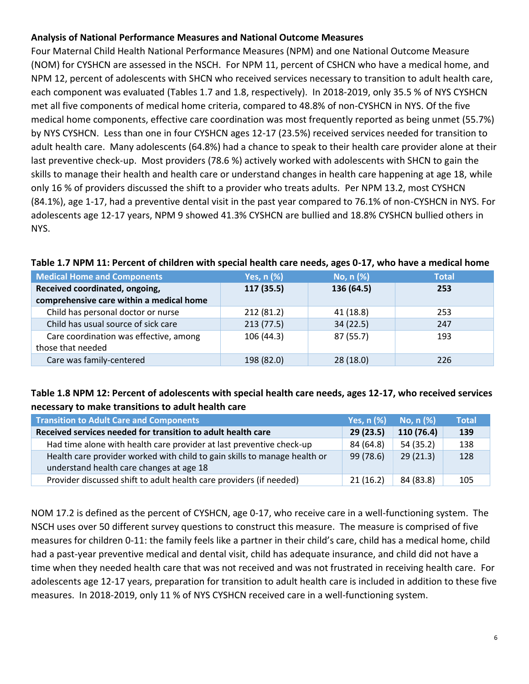### **Analysis of National Performance Measures and National Outcome Measures**

Four Maternal Child Health National Performance Measures (NPM) and one National Outcome Measure (NOM) for CYSHCN are assessed in the NSCH. For NPM 11, percent of CSHCN who have a medical home, and NPM 12, percent of adolescents with SHCN who received services necessary to transition to adult health care, each component was evaluated (Tables 1.7 and 1.8, respectively). In 2018-2019, only 35.5 % of NYS CYSHCN met all five components of medical home criteria, compared to 48.8% of non-CYSHCN in NYS. Of the five medical home components, effective care coordination was most frequently reported as being unmet (55.7%) by NYS CYSHCN. Less than one in four CYSHCN ages 12-17 (23.5%) received services needed for transition to adult health care. Many adolescents (64.8%) had a chance to speak to their health care provider alone at their last preventive check-up. Most providers (78.6 %) actively worked with adolescents with SHCN to gain the skills to manage their health and health care or understand changes in health care happening at age 18, while only 16 % of providers discussed the shift to a provider who treats adults. Per NPM 13.2, most CYSHCN (84.1%), age 1-17, had a preventive dental visit in the past year compared to 76.1% of non-CYSHCN in NYS. For adolescents age 12-17 years, NPM 9 showed 41.3% CYSHCN are bullied and 18.8% CYSHCN bullied others in NYS.

| <b>Medical Home and Components</b>                          | Yes, n (%) | No, n (%)  | <b>Total</b> |
|-------------------------------------------------------------|------------|------------|--------------|
| Received coordinated, ongoing,                              | 117 (35.5) | 136 (64.5) | 253          |
| comprehensive care within a medical home                    |            |            |              |
| Child has personal doctor or nurse                          | 212 (81.2) | 41(18.8)   | 253          |
| Child has usual source of sick care                         | 213(77.5)  | 34(22.5)   | 247          |
| Care coordination was effective, among<br>those that needed | 106(44.3)  | 87 (55.7)  | 193          |
| Care was family-centered                                    | 198 (82.0) | 28(18.0)   | 226          |

#### **Table 1.7 NPM 11: Percent of children with special health care needs, ages 0-17, who have a medical home**

## **Table 1.8 NPM 12: Percent of adolescents with special health care needs, ages 12-17, who received services necessary to make transitions to adult health care**

| <b>Transition to Adult Care and Components</b>                                                                        | Yes, $n$ $%$ | No, $n$ $%$ | <b>Total</b> |
|-----------------------------------------------------------------------------------------------------------------------|--------------|-------------|--------------|
| Received services needed for transition to adult health care                                                          | 29(23.5)     | 110 (76.4)  | 139          |
| Had time alone with health care provider at last preventive check-up                                                  | 84 (64.8)    | 54(35.2)    | 138          |
| Health care provider worked with child to gain skills to manage health or<br>understand health care changes at age 18 | 99 (78.6)    | 29(21.3)    | 128          |
| Provider discussed shift to adult health care providers (if needed)                                                   | 21(16.2)     | 84 (83.8)   | 105          |

NOM 17.2 is defined as the percent of CYSHCN, age 0-17, who receive care in a well-functioning system. The NSCH uses over 50 different survey questions to construct this measure. The measure is comprised of five measures for children 0-11: the family feels like a partner in their child's care, child has a medical home, child had a past-year preventive medical and dental visit, child has adequate insurance, and child did not have a time when they needed health care that was not received and was not frustrated in receiving health care. For adolescents age 12-17 years, preparation for transition to adult health care is included in addition to these five measures. In 2018-2019, only 11 % of NYS CYSHCN received care in a well-functioning system.